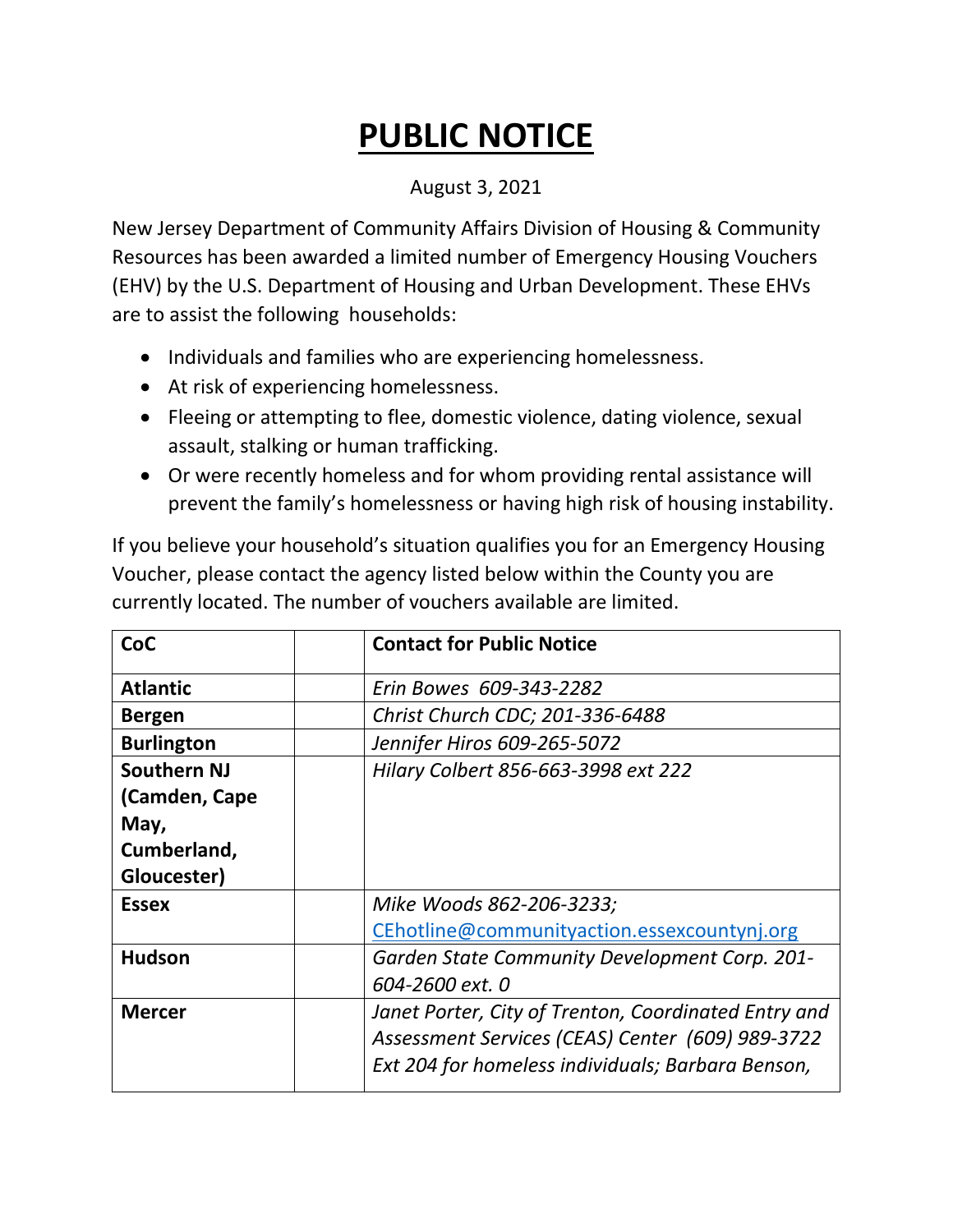## **PUBLIC NOTICE**

## August 3, 2021

New Jersey Department of Community Affairs Division of Housing & Community Resources has been awarded a limited number of Emergency Housing Vouchers (EHV) by the U.S. Department of Housing and Urban Development. These EHVs are to assist the following households:

- Individuals and families who are experiencing homelessness.
- At risk of experiencing homelessness.
- Fleeing or attempting to flee, domestic violence, dating violence, sexual assault, stalking or human trafficking.
- Or were recently homeless and for whom providing rental assistance will prevent the family's homelessness or having high risk of housing instability.

If you believe your household's situation qualifies you for an Emergency Housing Voucher, please contact the agency listed below within the County you are currently located. The number of vouchers available are limited.

| CoC                | <b>Contact for Public Notice</b>                     |
|--------------------|------------------------------------------------------|
| <b>Atlantic</b>    | Erin Bowes 609-343-2282                              |
| <b>Bergen</b>      | Christ Church CDC; 201-336-6488                      |
| <b>Burlington</b>  | Jennifer Hiros 609-265-5072                          |
| <b>Southern NJ</b> | Hilary Colbert 856-663-3998 ext 222                  |
| (Camden, Cape      |                                                      |
| May,               |                                                      |
| Cumberland,        |                                                      |
| Gloucester)        |                                                      |
| <b>Essex</b>       | Mike Woods 862-206-3233;                             |
|                    | CEhotline@communityaction.essexcountynj.org          |
| <b>Hudson</b>      | Garden State Community Development Corp. 201-        |
|                    | 604-2600 ext. 0                                      |
| <b>Mercer</b>      | Janet Porter, City of Trenton, Coordinated Entry and |
|                    | Assessment Services (CEAS) Center (609) 989-3722     |
|                    | Ext 204 for homeless individuals; Barbara Benson,    |